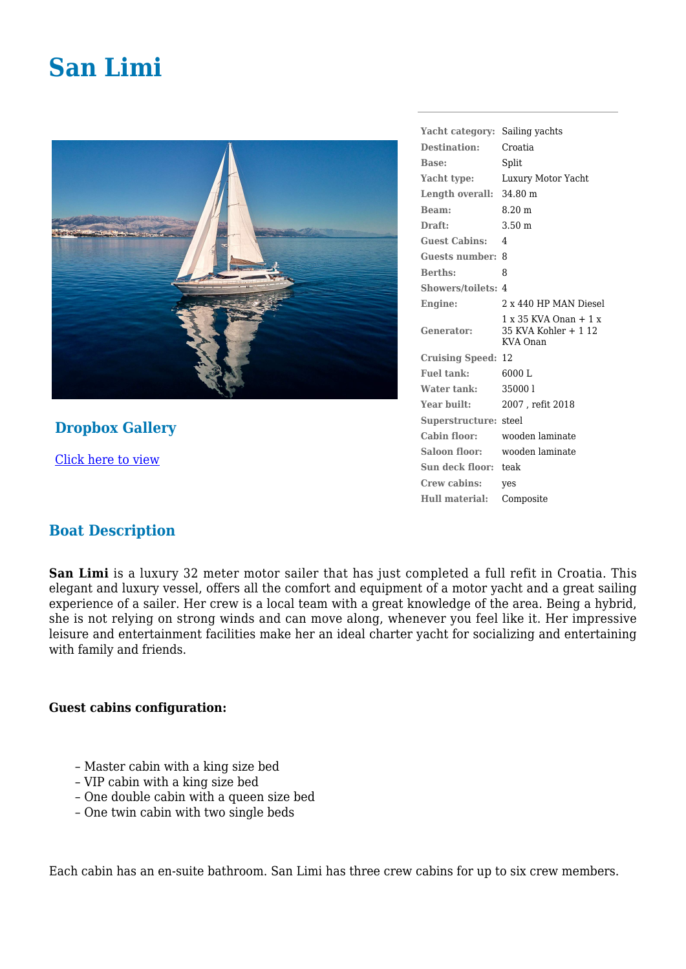# **San Limi**



## **Dropbox Gallery**

[Click here to view](https://www.dropbox.com/sh/qbrgrjvzsvltgom/AAA9J9q3J42Ed6QCFdqPtc_Xa?dl=0)

#### **Yacht category:** Sailing yachts **Destination:** Croatia **Base:** Split **Yacht type:** Luxury Motor Yacht **Length overall:** 34.80 m **Beam:** 8.20 m **Draft:** 3.50 m **Guest Cabins:** 4 **Guests number:** 8 **Berths:** 8 **Showers/toilets:** 4 **Engine:** 2 x 440 HP MAN Diesel **Generator:** 1 x 35 KVA Onan + 1 x 35 KVA Kohler + 1 12 KVA Onan **Cruising Speed:** 12 **Fuel tank:** 6000 L **Water tank:** 35000 l **Year built:** 2007 , refit 2018 **Superstructure:** steel **Cabin floor:** wooden laminate **Saloon floor:** wooden laminate **Sun deck floor:** teak **Crew cabins:** yes **Hull material:** Composite

### **Boat Description**

**San Limi** is a luxury 32 meter motor sailer that has just completed a full refit in Croatia. This elegant and luxury vessel, offers all the comfort and equipment of a motor yacht and a great sailing experience of a sailer. Her crew is a local team with a great knowledge of the area. Being a hybrid, she is not relying on strong winds and can move along, whenever you feel like it. Her impressive leisure and entertainment facilities make her an ideal charter yacht for socializing and entertaining with family and friends.

#### **Guest cabins configuration:**

- Master cabin with a king size bed
- VIP cabin with a king size bed
- One double cabin with a queen size bed
- One twin cabin with two single beds

Each cabin has an en-suite bathroom. San Limi has three crew cabins for up to six crew members.